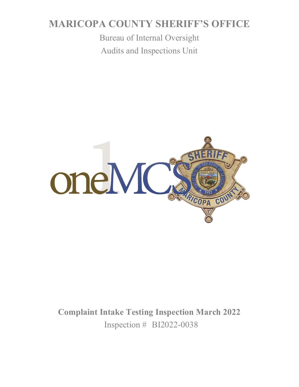# **MARICOPA COUNTY SHERIFF'S OFFICE**

Bureau of Internal Oversight Audits and Inspections Unit



**Complaint Intake Testing Inspection March 2022** Inspection # BI2022-0038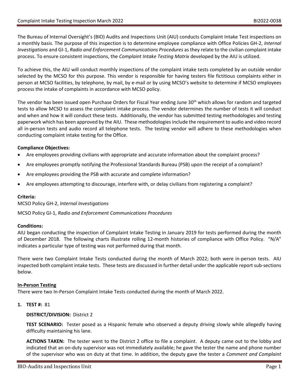The Bureau of Internal Oversight's (BIO) Audits and Inspections Unit (AIU) conducts Complaint Intake Test inspections on a monthly basis. The purpose of this inspection is to determine employee compliance with Office Policies GH-2, *Internal Investigations* and GI-1, *Radio and Enforcement Communications Procedures* as they relate to the civilian complaint intake process. To ensure consistent inspections, the *Complaint Intake Testing Matrix* developed by the AIU is utilized.

To achieve this, the AIU will conduct monthly inspections of the complaint intake tests completed by an outside vendor selected by the MCSO for this purpose. This vendor is responsible for having testers file fictitious complaints either in person at MCSO facilities, by telephone, by mail, by e-mail or by using MCSO's website to determine if MCSO employees process the intake of complaints in accordance with MCSO policy.

The vendor has been issued open Purchase Orders for Fiscal Year ending June 30<sup>th</sup> which allows for random and targeted tests to allow MCSO to assess the complaint intake process. The vendor determines the number of tests it will conduct and when and how it will conduct these tests. Additionally, the vendor has submitted testing methodologies and testing paperwork which has been approved by the AIU. These methodologies include the requirement to audio and video record all in-person tests and audio record all telephone tests. The testing vendor will adhere to these methodologies when conducting complaint intake testing for the Office.

# **Compliance Objectives:**

- Are employees providing civilians with appropriate and accurate information about the complaint process?
- Are employees promptly notifying the Professional Standards Bureau (PSB) upon the receipt of a complaint?
- Are employees providing the PSB with accurate and complete information?
- Are employees attempting to discourage, interfere with, or delay civilians from registering a complaint?

# **Criteria:**

MCSO Policy GH-2, *Internal Investigations*

MCSO Policy GI-1, *Radio and Enforcement Communications Procedures*

# **Conditions:**

AIU began conducting the inspection of Complaint Intake Testing in January 2019 for tests performed during the month of December 2018. The following charts illustrate rolling 12-month histories of compliance with Office Policy. "N/A" indicates a particular type of testing was not performed during that month.

There were two Complaint Intake Tests conducted during the month of March 2022; both were in-person tests. AIU inspected both complaint intake tests. These tests are discussed in further detail under the applicable report sub-sections below.

# **In-Person Testing**

There were two In-Person Complaint Intake Tests conducted during the month of March 2022.

**1. TEST #:** 81

# **DISTRICT/DIVISION:** District 2

**TEST SCENARIO:** Tester posed as a Hispanic female who observed a deputy driving slowly while allegedly having difficulty maintaining his lane.

**ACTIONS TAKEN:** The tester went to the District 2 office to file a complaint. A deputy came out to the lobby and indicated that an on-duty supervisor was not immediately available; he gave the tester the name and phone number of the supervisor who was on duty at that time. In addition, the deputy gave the tester a *Comment and Complaint*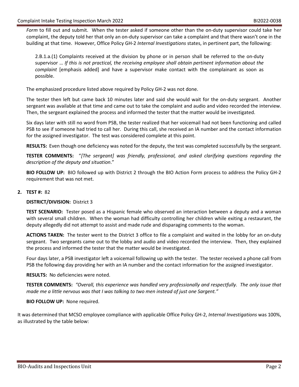*Form* to fill out and submit. When the tester asked if someone other than the on-duty supervisor could take her complaint, the deputy told her that only an on-duty supervisor can take a complaint and that there wasn't one in the building at that time. However, Office Policy GH-2 *Internal Investigations* states, in pertinent part, the following:

2.B.1.a.(1) Complaints received at the division by phone or in person shall be referred to the on-duty supervisor … *If this is not practical, the receiving employee shall obtain pertinent information about the complaint* [emphasis added] and have a supervisor make contact with the complainant as soon as possible.

The emphasized procedure listed above required by Policy GH-2 was not done.

The tester then left but came back 10 minutes later and said she would wait for the on-duty sergeant. Another sergeant was available at that time and came out to take the complaint and audio and video recorded the interview. Then, the sergeant explained the process and informed the tester that the matter would be investigated.

Six days later with still no word from PSB, the tester realized that her voicemail had not been functioning and called PSB to see if someone had tried to call her. During this call, she received an IA number and the contact information for the assigned investigator. The test was considered complete at this point.

**RESULTS:** Even though one deficiency was noted for the deputy, the test was completed successfully by the sergeant.

**TESTER COMMENTS:** "*[The sergeant] was friendly, professional, and asked clarifying questions regarding the description of the deputy and situation*."

**BIO FOLLOW UP:** BIO followed up with District 2 through the BIO Action Form process to address the Policy GH-2 requirement that was not met.

#### **2. TEST #:** 82

**DISTRICT/DIVISION:** District 3

**TEST SCENARIO:** Tester posed as a Hispanic female who observed an interaction between a deputy and a woman with several small children. When the woman had difficulty controlling her children while exiting a restaurant, the deputy allegedly did not attempt to assist and made rude and disparaging comments to the woman.

**ACTIONS TAKEN:** The tester went to the District 3 office to file a complaint and waited in the lobby for an on-duty sergeant. Two sergeants came out to the lobby and audio and video recorded the interview. Then, they explained the process and informed the tester that the matter would be investigated.

Four days later, a PSB investigator left a voicemail following up with the tester. The tester received a phone call from PSB the following day providing her with an IA number and the contact information for the assigned investigator.

**RESULTS:** No deficiencies were noted.

**TESTER COMMENTS:** *"Overall, this experience was handled very professionally and respectfully. The only issue that made me a little nervous was that I was talking to two men instead of just one Sargent."*

#### **BIO FOLLOW UP:** None required.

It was determined that MCSO employee compliance with applicable Office Policy GH-2, *Internal Investigations* was 100%, as illustrated by the table below: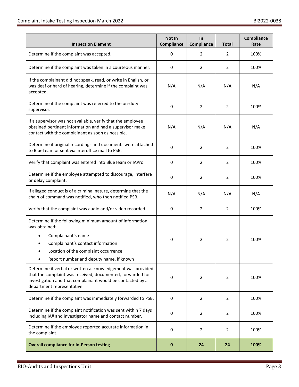| <b>Inspection Element</b>                                                                                                                                                                                             | Not In<br>Compliance | In<br><b>Compliance</b> | <b>Total</b>   | Compliance<br>Rate |
|-----------------------------------------------------------------------------------------------------------------------------------------------------------------------------------------------------------------------|----------------------|-------------------------|----------------|--------------------|
| Determine if the complaint was accepted.                                                                                                                                                                              | 0                    | 2                       | 2              | 100%               |
| Determine if the complaint was taken in a courteous manner.                                                                                                                                                           | 0                    | $\overline{2}$          | 2              | 100%               |
| If the complainant did not speak, read, or write in English, or<br>was deaf or hard of hearing, determine if the complaint was<br>accepted.                                                                           | N/A                  | N/A                     | N/A            | N/A                |
| Determine if the complaint was referred to the on-duty<br>supervisor.                                                                                                                                                 | 0                    | $\overline{2}$          | $\overline{2}$ | 100%               |
| If a supervisor was not available, verify that the employee<br>obtained pertinent information and had a supervisor make<br>contact with the complainant as soon as possible.                                          | N/A                  | N/A                     | N/A            | N/A                |
| Determine if original recordings and documents were attached<br>to BlueTeam or sent via interoffice mail to PSB.                                                                                                      | 0                    | $\overline{2}$          | $\overline{2}$ | 100%               |
| Verify that complaint was entered into BlueTeam or IAPro.                                                                                                                                                             | 0                    | $\overline{2}$          | 2              | 100%               |
| Determine if the employee attempted to discourage, interfere<br>or delay complaint.                                                                                                                                   | 0                    | $\overline{2}$          | $\overline{2}$ | 100%               |
| If alleged conduct is of a criminal nature, determine that the<br>chain of command was notified, who then notified PSB.                                                                                               | N/A                  | N/A                     | N/A            | N/A                |
| Verify that the complaint was audio and/or video recorded.                                                                                                                                                            | 0                    | $\overline{2}$          | $\overline{2}$ | 100%               |
| Determine if the following minimum amount of information<br>was obtained:                                                                                                                                             |                      |                         |                |                    |
| Complainant's name<br>Complainant's contact information<br>Location of the complaint occurrence<br>Report number and deputy name, if known                                                                            | 0                    | 2                       | 2              | 100%               |
| Determine if verbal or written acknowledgement was provided<br>that the complaint was received, documented, forwarded for<br>investigation and that complainant would be contacted by a<br>department representative. | 0                    | 2                       | 2              | 100%               |
| Determine if the complaint was immediately forwarded to PSB.                                                                                                                                                          | 0                    | $\overline{2}$          | $\overline{2}$ | 100%               |
| Determine if the complaint notification was sent within 7 days<br>including IA# and investigator name and contact number.                                                                                             | 0                    | $\mathbf{2}^{\prime}$   | 2              | 100%               |
| Determine if the employee reported accurate information in<br>the complaint.                                                                                                                                          | 0                    | 2                       | 2              | 100%               |
| <b>Overall compliance for In-Person testing</b>                                                                                                                                                                       | $\bf{0}$             | 24                      | 24             | 100%               |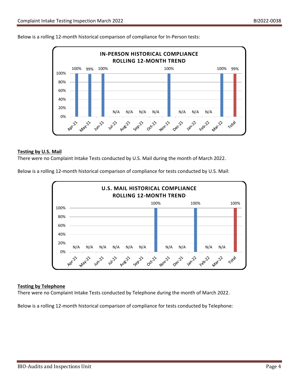

Below is a rolling 12-month historical comparison of compliance for In-Person tests:

#### **Testing by U.S. Mail**

There were no Complaint Intake Tests conducted by U.S. Mail during the month of March 2022.

Below is a rolling 12-month historical comparison of compliance for tests conducted by U.S. Mail:



#### **Testing by Telephone**

There were no Complaint Intake Tests conducted by Telephone during the month of March 2022.

Below is a rolling 12-month historical comparison of compliance for tests conducted by Telephone: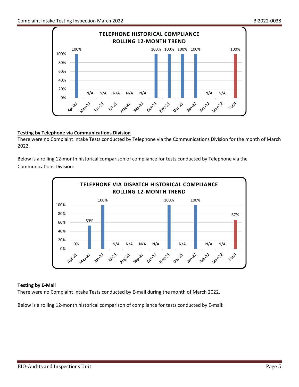

# **Testing by Telephone via Communications Division**

There were no Complaint Intake Tests conducted by Telephone via the Communications Division for the month of March 2022.

Below is a rolling 12-month historical comparison of compliance for tests conducted by Telephone via the Communications Division:



# **Testing by E-Mail**

There were no Complaint Intake Tests conducted by E-mail during the month of March 2022.

Below is a rolling 12-month historical comparison of compliance for tests conducted by E-mail: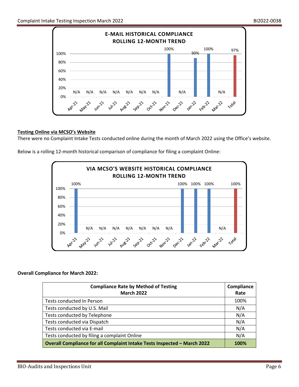

# **Testing Online via MCSO's Website**

There were no Complaint Intake Tests conducted online during the month of March 2022 using the Office's website.

Below is a rolling 12-month historical comparison of compliance for filing a complaint Online:



# **Overall Compliance for March 2022:**

| <b>Compliance Rate by Method of Testing</b><br><b>March 2022</b>         | Compliance<br>Rate |
|--------------------------------------------------------------------------|--------------------|
| Tests conducted In Person                                                | 100%               |
| Tests conducted by U.S. Mail                                             | N/A                |
| Tests conducted by Telephone                                             | N/A                |
| Tests conducted via Dispatch                                             | N/A                |
| Tests conducted via E-mail                                               | N/A                |
| Tests conducted by filing a complaint Online                             | N/A                |
| Overall Compliance for all Complaint Intake Tests Inspected - March 2022 | 100%               |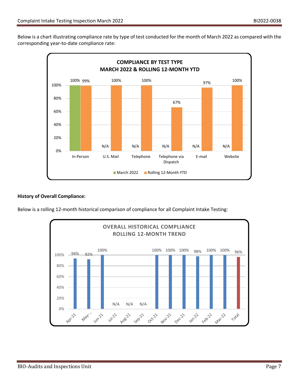Below is a chart illustrating compliance rate by type of test conducted for the month of March 2022 as compared with the corresponding year-to-date compliance rate:



# **History of Overall Compliance:**

Below is a rolling 12-month historical comparison of compliance for all Complaint Intake Testing: